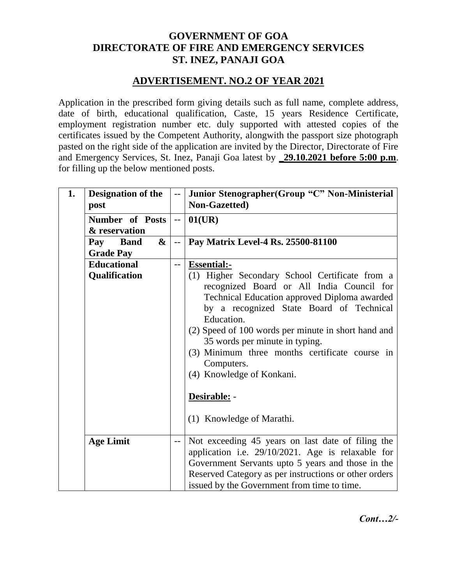### **GOVERNMENT OF GOA DIRECTORATE OF FIRE AND EMERGENCY SERVICES ST. INEZ, PANAJI GOA**

#### **ADVERTISEMENT. NO.2 OF YEAR 2021**

Application in the prescribed form giving details such as full name, complete address, date of birth, educational qualification, Caste, 15 years Residence Certificate, employment registration number etc. duly supported with attested copies of the certificates issued by the Competent Authority, alongwith the passport size photograph pasted on the right side of the application are invited by the Director, Directorate of Fire and Emergency Services, St. Inez, Panaji Goa latest by **\_29.10.2021 before 5:00 p.m**. for filling up the below mentioned posts.

| 1. | <b>Designation of the</b><br>post                           | $-\,-$                   | Junior Stenographer (Group "C" Non-Ministerial<br>Non-Gazetted)                                                                                                                                                                                                                                                                                                                      |
|----|-------------------------------------------------------------|--------------------------|--------------------------------------------------------------------------------------------------------------------------------------------------------------------------------------------------------------------------------------------------------------------------------------------------------------------------------------------------------------------------------------|
|    | Number of Posts<br>& reservation                            |                          | 01(UR)                                                                                                                                                                                                                                                                                                                                                                               |
|    | $\boldsymbol{\&}$<br><b>Band</b><br>Pay<br><b>Grade Pay</b> | $\overline{\phantom{a}}$ | Pay Matrix Level-4 Rs. 25500-81100                                                                                                                                                                                                                                                                                                                                                   |
|    | <b>Educational</b><br>Qualification                         | $-$                      | <b>Essential:-</b><br>(1) Higher Secondary School Certificate from a<br>recognized Board or All India Council for<br>Technical Education approved Diploma awarded<br>by a recognized State Board of Technical<br>Education.<br>(2) Speed of 100 words per minute in short hand and<br>35 words per minute in typing.<br>(3) Minimum three months certificate course in<br>Computers. |
|    |                                                             |                          | (4) Knowledge of Konkani.<br>Desirable: -<br>(1) Knowledge of Marathi.                                                                                                                                                                                                                                                                                                               |
|    | <b>Age Limit</b>                                            | --                       | Not exceeding 45 years on last date of filing the<br>application i.e. 29/10/2021. Age is relaxable for<br>Government Servants upto 5 years and those in the<br>Reserved Category as per instructions or other orders<br>issued by the Government from time to time.                                                                                                                  |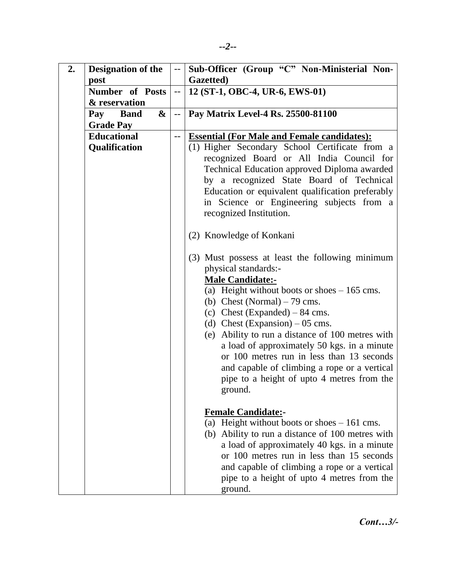| Gazetted)<br>post                                                                    | Sub-Officer (Group "C" Non-Ministerial Non- |
|--------------------------------------------------------------------------------------|---------------------------------------------|
|                                                                                      |                                             |
| <b>Number</b> of Posts<br>12 (ST-1, OBC-4, UR-6, EWS-01)<br>$\overline{\phantom{a}}$ |                                             |
| & reservation                                                                        |                                             |
| &<br>Pay Matrix Level-4 Rs. 25500-81100<br>Pay<br><b>Band</b><br>$\overline{a}$      |                                             |
| <b>Grade Pay</b>                                                                     |                                             |
| <b>Educational</b><br><b>Essential (For Male and Female candidates):</b><br>$-$      |                                             |
| Qualification<br>(1) Higher Secondary School Certificate from a                      |                                             |
| recognized Board or All India Council for                                            |                                             |
| Technical Education approved Diploma awarded                                         |                                             |
| by a recognized State Board of Technical                                             |                                             |
| Education or equivalent qualification preferably                                     |                                             |
| in Science or Engineering subjects from a                                            |                                             |
| recognized Institution.                                                              |                                             |
|                                                                                      |                                             |
| (2) Knowledge of Konkani                                                             |                                             |
|                                                                                      |                                             |
| (3) Must possess at least the following minimum                                      |                                             |
| physical standards:-                                                                 |                                             |
| <b>Male Candidate:-</b>                                                              |                                             |
| (a) Height without boots or shoes $-165$ cms.                                        |                                             |
| (b) Chest (Normal) $-79$ cms.                                                        |                                             |
| (c) Chest (Expanded) $-84$ cms.                                                      |                                             |
| (d) Chest (Expansion) $-05$ cms.                                                     |                                             |
| (e) Ability to run a distance of 100 metres with                                     |                                             |
| a load of approximately 50 kgs. in a minute                                          |                                             |
| or 100 metres run in less than 13 seconds                                            |                                             |
| and capable of climbing a rope or a vertical                                         |                                             |
| pipe to a height of upto 4 metres from the                                           |                                             |
| ground.                                                                              |                                             |
|                                                                                      |                                             |
| <b>Female Candidate:-</b>                                                            |                                             |
| (a) Height without boots or shoes $-161$ cms.                                        |                                             |
| (b) Ability to run a distance of 100 metres with                                     |                                             |
| a load of approximately 40 kgs. in a minute                                          |                                             |
| or 100 metres run in less than 15 seconds                                            |                                             |
| and capable of climbing a rope or a vertical                                         |                                             |
| pipe to a height of upto 4 metres from the                                           |                                             |
| ground.                                                                              |                                             |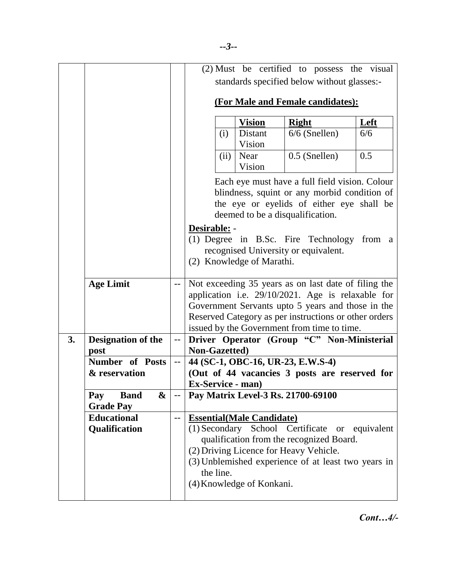|    |                                             |                          |                                                                                                                                                                                 |                   | (2) Must be certified to possess the visual                                                                                                                                                                                                                            |      |  |
|----|---------------------------------------------|--------------------------|---------------------------------------------------------------------------------------------------------------------------------------------------------------------------------|-------------------|------------------------------------------------------------------------------------------------------------------------------------------------------------------------------------------------------------------------------------------------------------------------|------|--|
|    |                                             |                          | standards specified below without glasses:-                                                                                                                                     |                   |                                                                                                                                                                                                                                                                        |      |  |
|    |                                             |                          | (For Male and Female candidates):                                                                                                                                               |                   |                                                                                                                                                                                                                                                                        |      |  |
|    |                                             |                          |                                                                                                                                                                                 | <b>Vision</b>     | <b>Right</b>                                                                                                                                                                                                                                                           | Left |  |
|    |                                             |                          | (i)                                                                                                                                                                             | Distant<br>Vision | $6/6$ (Snellen)                                                                                                                                                                                                                                                        | 6/6  |  |
|    |                                             |                          | (ii)                                                                                                                                                                            | Near<br>Vision    | $0.5$ (Snellen)                                                                                                                                                                                                                                                        | 0.5  |  |
|    |                                             |                          | Each eye must have a full field vision. Colour<br>blindness, squint or any morbid condition of<br>the eye or eyelids of either eye shall be<br>deemed to be a disqualification. |                   |                                                                                                                                                                                                                                                                        |      |  |
|    |                                             |                          | Desirable: -<br>(2) Knowledge of Marathi.                                                                                                                                       |                   | (1) Degree in B.Sc. Fire Technology from a<br>recognised University or equivalent.                                                                                                                                                                                     |      |  |
|    | <b>Age Limit</b>                            | $-$                      |                                                                                                                                                                                 |                   | Not exceeding 35 years as on last date of filing the<br>application i.e. 29/10/2021. Age is relaxable for<br>Government Servants upto 5 years and those in the<br>Reserved Category as per instructions or other orders<br>issued by the Government from time to time. |      |  |
| 3. | <b>Designation of the</b>                   | $-\,-$                   | Driver Operator (Group "C" Non-Ministerial                                                                                                                                      |                   |                                                                                                                                                                                                                                                                        |      |  |
|    | post<br><b>Number</b> of Posts              | $\overline{\phantom{a}}$ | Non-Gazetted)                                                                                                                                                                   |                   | 44 (SC-1, OBC-16, UR-23, E.W.S-4)                                                                                                                                                                                                                                      |      |  |
|    | & reservation                               |                          | <b>Ex-Service - man)</b>                                                                                                                                                        |                   | (Out of 44 vacancies 3 posts are reserved for                                                                                                                                                                                                                          |      |  |
|    | &<br><b>Band</b><br>Pay<br><b>Grade Pay</b> |                          |                                                                                                                                                                                 |                   | Pay Matrix Level-3 Rs. 21700-69100                                                                                                                                                                                                                                     |      |  |
|    | <b>Educational</b><br>Qualification         | $-$                      | <b>Essential(Male Candidate)</b><br>the line.<br>(4) Knowledge of Konkani.                                                                                                      |                   | (1) Secondary School Certificate or equivalent<br>qualification from the recognized Board.<br>(2) Driving Licence for Heavy Vehicle.<br>(3) Unblemished experience of at least two years in                                                                            |      |  |

*Cont…4/-*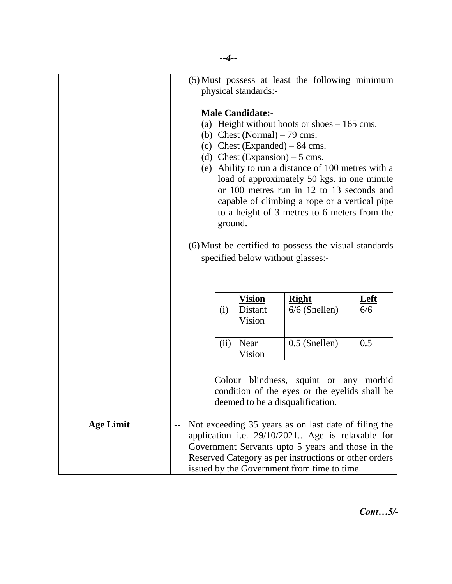|                  |       | (5) Must possess at least the following minimum<br>physical standards:-<br><b>Male Candidate:-</b><br>(a) Height without boots or shoes $-165$ cms.<br>(b) Chest (Normal) $-79$ cms.<br>(c) Chest (Expanded) $-84$ cms.<br>(d) Chest (Expansion) $-5$ cms.<br>(e) Ability to run a distance of 100 metres with a<br>load of approximately 50 kgs. in one minute<br>or 100 metres run in 12 to 13 seconds and<br>capable of climbing a rope or a vertical pipe<br>to a height of 3 metres to 6 meters from the<br>ground.<br>(6) Must be certified to possess the visual standards<br>specified below without glasses:- |                   |                 |     |  |
|------------------|-------|------------------------------------------------------------------------------------------------------------------------------------------------------------------------------------------------------------------------------------------------------------------------------------------------------------------------------------------------------------------------------------------------------------------------------------------------------------------------------------------------------------------------------------------------------------------------------------------------------------------------|-------------------|-----------------|-----|--|
|                  |       | <b>Vision</b><br>Left<br><b>Right</b>                                                                                                                                                                                                                                                                                                                                                                                                                                                                                                                                                                                  |                   |                 |     |  |
|                  |       | (i)                                                                                                                                                                                                                                                                                                                                                                                                                                                                                                                                                                                                                    | Distant<br>Vision | $6/6$ (Snellen) | 6/6 |  |
|                  |       | 0.5<br>(ii)<br>Near<br>0.5 (Snellen)<br>Vision                                                                                                                                                                                                                                                                                                                                                                                                                                                                                                                                                                         |                   |                 |     |  |
|                  |       | Colour blindness, squint or any morbid<br>condition of the eyes or the eyelids shall be<br>deemed to be a disqualification.                                                                                                                                                                                                                                                                                                                                                                                                                                                                                            |                   |                 |     |  |
| <b>Age Limit</b> | $- -$ | Not exceeding 35 years as on last date of filing the<br>application i.e. 29/10/2021 Age is relaxable for<br>Government Servants upto 5 years and those in the<br>Reserved Category as per instructions or other orders<br>issued by the Government from time to time.                                                                                                                                                                                                                                                                                                                                                  |                   |                 |     |  |

*Cont…5/-*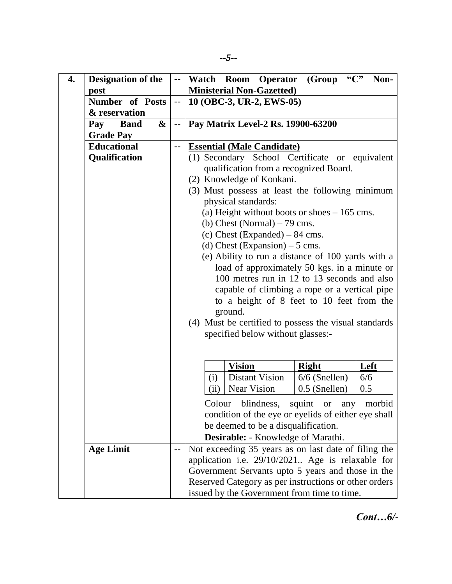| <b>Designation of the</b><br>4. |                        | $\mathord{\hspace{1pt}\text{--}\hspace{1pt}}$ | Watch Room Operator (Group "C"<br>Non-                 |  |  |  |  |
|---------------------------------|------------------------|-----------------------------------------------|--------------------------------------------------------|--|--|--|--|
| post                            |                        |                                               | <b>Ministerial Non-Gazetted)</b>                       |  |  |  |  |
|                                 | <b>Number of Posts</b> |                                               | 10 (OBC-3, UR-2, EWS-05)                               |  |  |  |  |
|                                 | & reservation          |                                               |                                                        |  |  |  |  |
| <b>Band</b><br>Pay              | &                      | $\mathord{\hspace{1pt}\text{--}\hspace{1pt}}$ | Pay Matrix Level-2 Rs. 19900-63200                     |  |  |  |  |
| <b>Grade Pay</b>                |                        |                                               |                                                        |  |  |  |  |
| <b>Educational</b>              |                        | $-$                                           | <b>Essential (Male Candidate)</b>                      |  |  |  |  |
| Qualification                   |                        |                                               | (1) Secondary School Certificate or equivalent         |  |  |  |  |
|                                 |                        |                                               | qualification from a recognized Board.                 |  |  |  |  |
|                                 |                        |                                               | (2) Knowledge of Konkani.                              |  |  |  |  |
|                                 |                        |                                               | (3) Must possess at least the following minimum        |  |  |  |  |
|                                 |                        |                                               | physical standards:                                    |  |  |  |  |
|                                 |                        |                                               | (a) Height without boots or shoes $-165$ cms.          |  |  |  |  |
|                                 |                        |                                               | (b) Chest (Normal) $-79$ cms.                          |  |  |  |  |
|                                 |                        |                                               | (c) Chest (Expanded) $-84$ cms.                        |  |  |  |  |
|                                 |                        |                                               | (d) Chest (Expansion) $-5$ cms.                        |  |  |  |  |
|                                 |                        |                                               | (e) Ability to run a distance of 100 yards with a      |  |  |  |  |
|                                 |                        |                                               |                                                        |  |  |  |  |
|                                 |                        |                                               | load of approximately 50 kgs. in a minute or           |  |  |  |  |
|                                 |                        |                                               | 100 metres run in 12 to 13 seconds and also            |  |  |  |  |
|                                 |                        |                                               | capable of climbing a rope or a vertical pipe          |  |  |  |  |
|                                 |                        |                                               | to a height of 8 feet to 10 feet from the              |  |  |  |  |
|                                 |                        |                                               | ground.                                                |  |  |  |  |
|                                 |                        |                                               | (4) Must be certified to possess the visual standards  |  |  |  |  |
|                                 |                        |                                               | specified below without glasses:-                      |  |  |  |  |
|                                 |                        |                                               |                                                        |  |  |  |  |
|                                 |                        |                                               |                                                        |  |  |  |  |
|                                 |                        |                                               | <b>Vision</b><br>Left<br><b>Right</b>                  |  |  |  |  |
|                                 |                        |                                               | <b>Distant Vision</b><br>$6/6$ (Snellen)<br>6/6<br>(i) |  |  |  |  |
|                                 |                        |                                               | <b>Near Vision</b><br>$0.5$ (Snellen)<br>(ii)<br>0.5   |  |  |  |  |
|                                 |                        |                                               | Colour blindness, squint or any morbid                 |  |  |  |  |
|                                 |                        |                                               | condition of the eye or eyelids of either eye shall    |  |  |  |  |
|                                 |                        |                                               | be deemed to be a disqualification.                    |  |  |  |  |
|                                 |                        |                                               | <b>Desirable:</b> - Knowledge of Marathi.              |  |  |  |  |
| <b>Age Limit</b>                |                        | --                                            | Not exceeding 35 years as on last date of filing the   |  |  |  |  |
|                                 |                        |                                               | application i.e. 29/10/2021 Age is relaxable for       |  |  |  |  |
|                                 |                        |                                               | Government Servants upto 5 years and those in the      |  |  |  |  |
|                                 |                        |                                               | Reserved Category as per instructions or other orders  |  |  |  |  |
|                                 |                        |                                               | issued by the Government from time to time.            |  |  |  |  |

*Cont…6/-*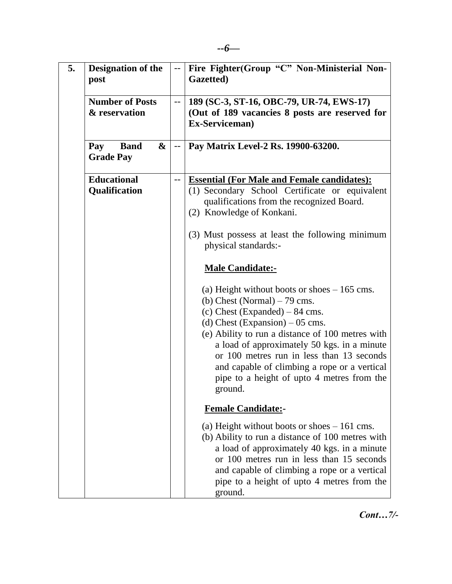| 5. | <b>Designation of the</b><br>post           | $\qquad \qquad -$                             | Fire Fighter(Group "C" Non-Ministerial Non-<br>Gazetted)                                                                                                                                                                                                                                                                                                                                                       |
|----|---------------------------------------------|-----------------------------------------------|----------------------------------------------------------------------------------------------------------------------------------------------------------------------------------------------------------------------------------------------------------------------------------------------------------------------------------------------------------------------------------------------------------------|
|    | <b>Number of Posts</b><br>& reservation     | $- -$                                         | 189 (SC-3, ST-16, OBC-79, UR-74, EWS-17)<br>(Out of 189 vacancies 8 posts are reserved for<br>Ex-Serviceman)                                                                                                                                                                                                                                                                                                   |
|    | <b>Band</b><br>&<br>Pay<br><b>Grade Pay</b> | $\mathord{\hspace{1pt}\text{--}\hspace{1pt}}$ | Pay Matrix Level-2 Rs. 19900-63200.                                                                                                                                                                                                                                                                                                                                                                            |
|    | <b>Educational</b><br>Qualification         | --                                            | <b>Essential (For Male and Female candidates):</b><br>(1) Secondary School Certificate or equivalent<br>qualifications from the recognized Board.<br>(2) Knowledge of Konkani.<br>(3) Must possess at least the following minimum                                                                                                                                                                              |
|    |                                             |                                               | physical standards:-                                                                                                                                                                                                                                                                                                                                                                                           |
|    |                                             |                                               | <b>Male Candidate:-</b>                                                                                                                                                                                                                                                                                                                                                                                        |
|    |                                             |                                               | (a) Height without boots or shoes $-165$ cms.<br>(b) Chest (Normal) $-79$ cms.<br>(c) Chest (Expanded) $-84$ cms.<br>(d) Chest (Expansion) $-05$ cms.<br>(e) Ability to run a distance of 100 metres with<br>a load of approximately 50 kgs. in a minute<br>or 100 metres run in less than 13 seconds<br>and capable of climbing a rope or a vertical<br>pipe to a height of upto 4 metres from the<br>ground. |
|    |                                             |                                               | <b>Female Candidate:-</b>                                                                                                                                                                                                                                                                                                                                                                                      |
|    |                                             |                                               | (a) Height without boots or shoes $-161$ cms.<br>(b) Ability to run a distance of 100 metres with<br>a load of approximately 40 kgs. in a minute<br>or 100 metres run in less than 15 seconds<br>and capable of climbing a rope or a vertical<br>pipe to a height of upto 4 metres from the<br>ground.                                                                                                         |

*Cont…7/-*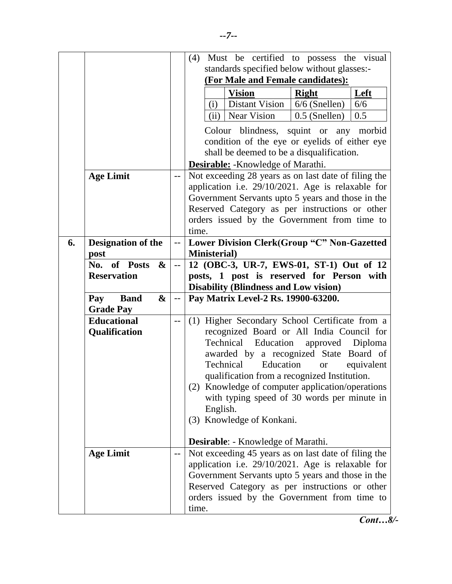|    |                                         |                | (4) Must be certified to possess the visual          |  |  |  |  |
|----|-----------------------------------------|----------------|------------------------------------------------------|--|--|--|--|
|    |                                         |                | standards specified below without glasses:-          |  |  |  |  |
|    |                                         |                | (For Male and Female candidates):                    |  |  |  |  |
|    |                                         |                | <b>Vision</b><br>Left<br><b>Right</b>                |  |  |  |  |
|    |                                         |                | Distant Vision<br>$6/6$ (Snellen)<br>6/6<br>(i)      |  |  |  |  |
|    |                                         |                | Near Vision<br>0.5 (Snellen)<br>0.5<br>(ii)          |  |  |  |  |
|    |                                         |                | Colour blindness, squint or any morbid               |  |  |  |  |
|    |                                         |                | condition of the eye or eyelids of either eye        |  |  |  |  |
|    |                                         |                | shall be deemed to be a disqualification.            |  |  |  |  |
|    |                                         |                | <b>Desirable:</b> - Knowledge of Marathi.            |  |  |  |  |
|    | <b>Age Limit</b>                        | --             | Not exceeding 28 years as on last date of filing the |  |  |  |  |
|    |                                         |                | application i.e. 29/10/2021. Age is relaxable for    |  |  |  |  |
|    |                                         |                | Government Servants upto 5 years and those in the    |  |  |  |  |
|    |                                         |                | Reserved Category as per instructions or other       |  |  |  |  |
|    |                                         |                | orders issued by the Government from time to         |  |  |  |  |
|    |                                         |                | time.                                                |  |  |  |  |
| 6. | <b>Designation of the</b>               | --             | Lower Division Clerk(Group "C" Non-Gazetted          |  |  |  |  |
|    | post                                    |                | <b>Ministerial</b> )                                 |  |  |  |  |
|    | No. of Posts<br>$\mathbf{\&}$           | $\overline{a}$ | 12 (OBC-3, UR-7, EWS-01, ST-1) Out of 12             |  |  |  |  |
|    | <b>Reservation</b>                      |                | posts, 1 post is reserved for Person with            |  |  |  |  |
|    |                                         |                | <b>Disability (Blindness and Low vision)</b>         |  |  |  |  |
|    | <b>Band</b><br>$\boldsymbol{\&}$<br>Pay | $- -$          | Pay Matrix Level-2 Rs. 19900-63200.                  |  |  |  |  |
|    | <b>Grade Pay</b>                        |                |                                                      |  |  |  |  |
|    | <b>Educational</b>                      | --             |                                                      |  |  |  |  |
|    |                                         |                | (1) Higher Secondary School Certificate from a       |  |  |  |  |
|    | Qualification                           |                | recognized Board or All India Council for            |  |  |  |  |
|    |                                         |                | Technical<br>Education<br>approved<br>Diploma        |  |  |  |  |
|    |                                         |                | awarded by a recognized State Board of               |  |  |  |  |
|    |                                         |                | Technical<br>Education<br>equivalent<br><b>or</b>    |  |  |  |  |
|    |                                         |                | qualification from a recognized Institution.         |  |  |  |  |
|    |                                         |                | (2) Knowledge of computer application/operations     |  |  |  |  |
|    |                                         |                | with typing speed of 30 words per minute in          |  |  |  |  |
|    |                                         |                | English.                                             |  |  |  |  |
|    |                                         |                | (3) Knowledge of Konkani.                            |  |  |  |  |
|    |                                         |                | <b>Desirable:</b> - Knowledge of Marathi.            |  |  |  |  |
|    | <b>Age Limit</b>                        | --             | Not exceeding 45 years as on last date of filing the |  |  |  |  |
|    |                                         |                | application i.e. 29/10/2021. Age is relaxable for    |  |  |  |  |
|    |                                         |                | Government Servants upto 5 years and those in the    |  |  |  |  |
|    |                                         |                | Reserved Category as per instructions or other       |  |  |  |  |
|    |                                         |                | orders issued by the Government from time to         |  |  |  |  |

*Cont…8/-*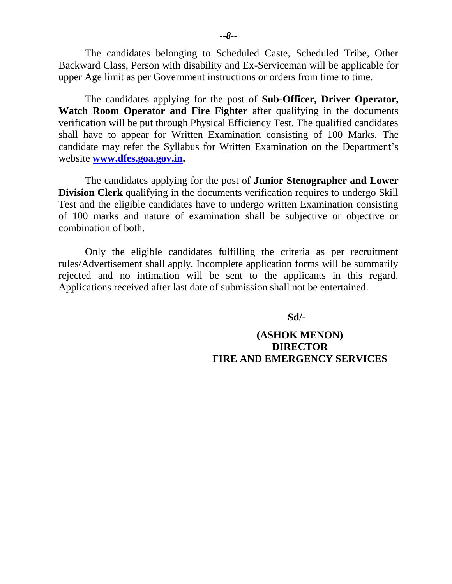The candidates belonging to Scheduled Caste, Scheduled Tribe, Other Backward Class, Person with disability and Ex-Serviceman will be applicable for upper Age limit as per Government instructions or orders from time to time.

The candidates applying for the post of **Sub-Officer, Driver Operator, Watch Room Operator and Fire Fighter** after qualifying in the documents verification will be put through Physical Efficiency Test. The qualified candidates shall have to appear for Written Examination consisting of 100 Marks. The candidate may refer the Syllabus for Written Examination on the Department's website **[www.dfes.goa.gov.in.](http://www.dfes.goa.gov.in/)**

The candidates applying for the post of **Junior Stenographer and Lower Division Clerk** qualifying in the documents verification requires to undergo Skill Test and the eligible candidates have to undergo written Examination consisting of 100 marks and nature of examination shall be subjective or objective or combination of both.

Only the eligible candidates fulfilling the criteria as per recruitment rules/Advertisement shall apply. Incomplete application forms will be summarily rejected and no intimation will be sent to the applicants in this regard. Applications received after last date of submission shall not be entertained.

**Sd/-**

### **(ASHOK MENON) DIRECTOR FIRE AND EMERGENCY SERVICES**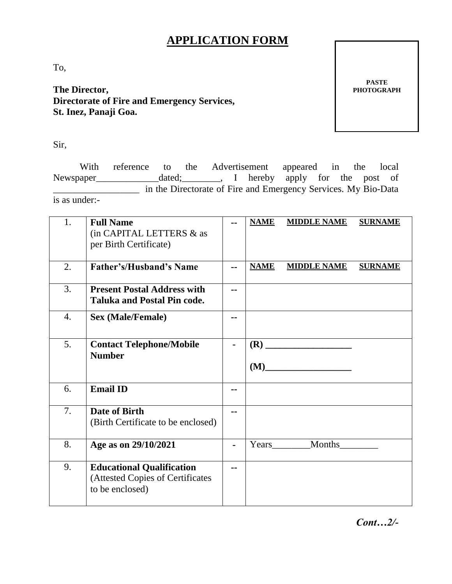# **APPLICATION FORM**

To,

**The Director, Directorate of Fire and Emergency Services, St. Inez, Panaji Goa.**

**PASTE PHOTOGRAPH**

Sir,

With reference to the Advertisement appeared in the local Newspaper\_\_\_\_\_\_\_\_\_\_\_\_\_dated;\_\_\_\_\_\_\_\_, I hereby apply for the post of \_\_\_\_\_\_\_\_\_\_\_\_\_\_\_\_\_\_ in the Directorate of Fire and Emergency Services. My Bio-Data is as under:-

| 1.               | <b>Full Name</b><br>(in CAPITAL LETTERS & as<br>per Birth Certificate)                  |               | <b>NAME</b> | <b>MIDDLE NAME</b>                    | <b>SURNAME</b> |
|------------------|-----------------------------------------------------------------------------------------|---------------|-------------|---------------------------------------|----------------|
| 2.               | <b>Father's/Husband's Name</b>                                                          | $\sim$ $\sim$ | <b>NAME</b> | <b>MIDDLE NAME</b>                    | <b>SURNAME</b> |
| 3.               | <b>Present Postal Address with</b><br><b>Taluka and Postal Pin code.</b>                | --            |             |                                       |                |
| $\overline{4}$ . | <b>Sex (Male/Female)</b>                                                                |               |             |                                       |                |
| 5.               | <b>Contact Telephone/Mobile</b><br><b>Number</b>                                        |               | (M)         | <u> 1990 - Johann Barbara, martxa</u> |                |
| 6.               | <b>Email ID</b>                                                                         | --            |             |                                       |                |
| 7.               | <b>Date of Birth</b><br>(Birth Certificate to be enclosed)                              | --            |             |                                       |                |
| 8.               | Age as on 29/10/2021                                                                    |               | Years       | Months                                |                |
| 9.               | <b>Educational Qualification</b><br>(Attested Copies of Certificates<br>to be enclosed) | --            |             |                                       |                |

*Cont…2/-*